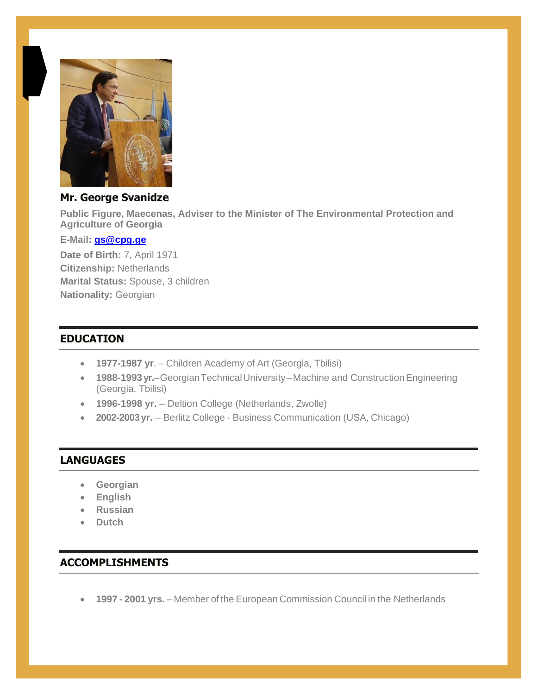

### **Mr. George Svanidze**

**Public Figure, Maecenas, Adviser to the Minister of The Environmental Protection and Agriculture of Georgia**

#### **E-Mail: [gs@cpg.ge](mailto:gs@cpg.ge)**

**Date of Birth:** 7, April 1971 **Citizenship:** Netherlands **Marital Status:** Spouse, 3 children **Nationality:** Georgian

### **EDUCATION**

- **1977-1987 yr**. Children Academy of Art (Georgia, Tbilisi)
- **1988-1993 yr.**–Georgian Technical University–Machine and Construction Engineering (Georgia, Tbilisi)
- **1996-1998 yr.** Deltion College (Netherlands, Zwolle)
- **2002-2003yr.** Berlitz College Business Communication (USA, Chicago)

### **LANGUAGES**

- **Georgian**
- **English**
- **Russian**
- **Dutch**

## **ACCOMPLISHMENTS**

• **1997 - 2001 yrs.** – Member of the European Commission Council in the Netherlands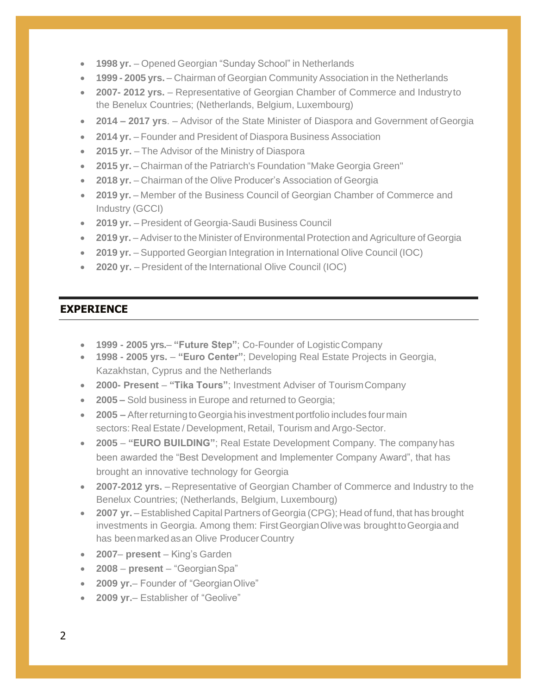- **1998 yr.** Opened Georgian "Sunday School" in Netherlands
- **1999 - 2005 yrs.** Chairman of Georgian Community Association in the Netherlands
- **2007- 2012 yrs.**  Representative of Georgian Chamber of Commerce and Industryto the Benelux Countries; (Netherlands, Belgium, Luxembourg)
- **2014 – 2017 yrs**. Advisor of the State Minister of Diaspora and Government ofGeorgia
- **2014 yr.** Founder and President of Diaspora Business Association
- **2015 yr.** The Advisor of the Ministry of Diaspora
- **2015 yr.** Chairman of the Patriarch's Foundation "Make Georgia Green"
- **2018 yr.** Chairman of the Olive Producer's Association of Georgia
- **2019 yr.** Member of the Business Council of Georgian Chamber of Commerce and Industry (GCCI)
- **2019 yr.** President of Georgia-Saudi Business Council
- **2019 yr.** Adviser to the Minister of Environmental Protection and Agriculture of Georgia
- **2019 yr.** Supported Georgian Integration in International Olive Council (IOC)
- **2020 yr.** President of the International Olive Council (IOC)

#### **EXPERIENCE**

- **1999 - 2005 yrs. "Future Step"**; Co-Founder of LogisticCompany
- **1998 - 2005 yrs. "Euro Center"**; Developing Real Estate Projects in Georgia, Kazakhstan, Cyprus and the Netherlands
- **2000- Present "Tika Tours"**; Investment Adviser of TourismCompany
- **2005 –** Sold business in Europe and returned to Georgia;
- **2005** After returning to Georgia his investment portfolio includes four main sectors: Real Estate / Development, Retail, Tourism and Argo-Sector.
- **2005 "EURO BUILDING"**; Real Estate Development Company. The companyhas been awarded the "Best Development and Implementer Company Award", that has brought an innovative technology for Georgia
- **2007-2012 yrs.** Representative of Georgian Chamber of Commerce and Industry to the Benelux Countries; (Netherlands, Belgium, Luxembourg)
- **2007** yr. Established Capital Partners of Georgia (CPG); Head of fund, that has brought investments in Georgia. Among them: FirstGeorgianOlivewas broughttoGeorgiaand has beenmarkedasan Olive Producer Country
- **2007 present**  King's Garden
- **2008 present**  "GeorgianSpa"
- **2009 yr.** Founder of "GeorgianOlive"
- **2009 yr.** Establisher of "Geolive"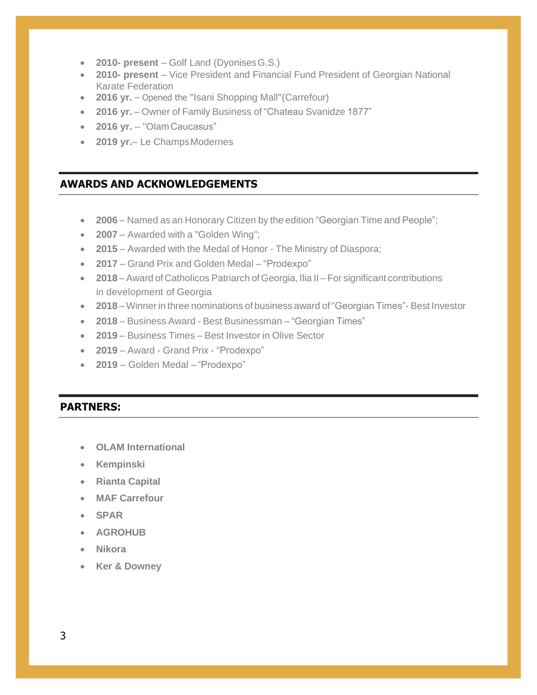- **2010- present**  Golf Land (DyonisesG.S.)
- **2010- present**  Vice President and Financial Fund President of Georgian National Karate Federation
- **2016 yr.** Opened the "Isani Shopping Mall" (Carrefour)
- **2016 yr.** Owner of Family Business of "Chateau Svanidze 1877"
- **2016 yr.**  "OlamCaucasus"
- **2019 yr.** Le Champs Modernes

### **AWARDS AND ACKNOWLEDGEMENTS**

- **2006** Named as an Honorary Citizen by the edition "Georgian Time and People";
- **2007** Awarded with a "Golden Wing";
- **2015** Awarded with the Medal of Honor The Ministry of Diaspora;
- **2017** Grand Prix and Golden Medal "Prodexpo"
- **2018** Award of Catholicos Patriarch of Georgia, Ilia II For significant contributions in development of Georgia
- **2018** Winner in three nominations of business award of"Georgian Times"- Best Investor
- **2018** Business Award Best Businessman "Georgian Times"
- **2019** Business Times Best Investor in Olive Sector
- **2019** Award Grand Prix "Prodexpo"
- **2019**  Golden Medal "Prodexpo"

### **PARTNERS:**

- **OLAM International**
- **Kempinski**
- **Rianta Capital**
- **MAF Carrefour**
- **SPAR**
- **AGROHUB**
- **Nikora**
- **Ker & Downey**